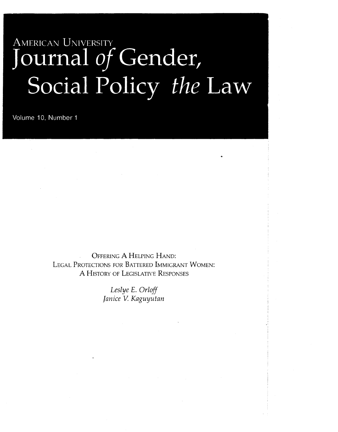# AMERICAN UNIVERSITY **Journal** *of* **Gender, Social Policy** *the* **Law**

..

Volume 10, Number 1

OFFERING A HELPING HAND: LEGAL PROTECTIONS FOR BATTERED IMMIGRANT WOMEN: A HISTORY OF LEGISLATIVE RESPONSES

> *Leslye E. Orloff*  Janice V. Kaguyutan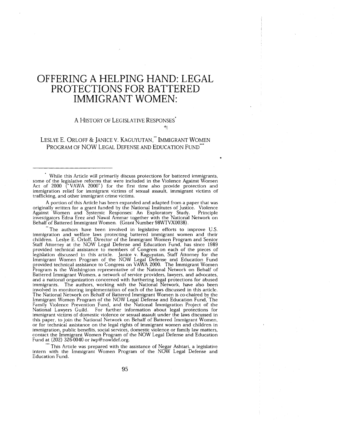## **OFFERING A HELPING HAND: LEGAL PROTECTIONS FOR BATTERED IMMIGRANT WOMEN:**

#### A HISTORY OF LEGISLATIVE RESPONSES'

#### LESLYE E. ORLOFF & JANICE V. KAGUYUTAN," IMMIGRANT WOMEN PROGRAM OF NOW LEGAL DEFENSE AND EDUCATION FUND'"

..

' While this Article will primarily discuss protections for battered immigrants, some of the legislative reforms that were included in the Violence Against Women Act of 2000 ("VAWA 2000") for the first time also provide protection and immigration relief for immigrant victims of sexual assault, immigrant victims of trafficking. and other immigrant crime victims.

A portion of this Article has been expanded and adapted from a paper that was originally written for a grant funded by the National Institutes of Justice. Violence Against Women and Systemic Responses: An Exploratory Study. Principle investigators Edna Erez and Nawal Ammar together with the National Network on Behalf of Battered Immigrant Women. (Grant Number 98WTVX0038).

The authors have been involved in legislative efforts to improve U.S. immigration and welfare laws protecting battered immigrant women and their children. Leslye E. Orloff, Director of the Immigrant Women Program and Senior Staff Attorney at the NOW Legal Defense and Education Fund, has since 1989 provided technical assistance to members of Congress on each of the pieces of legislation discussed in this article. Janice v. Kaguyutan. Staff Attorney for the Immigrant Women Program of the NOW Legal Defense and Education Fund provided technical assistance to Congress on VAWA 2000. The Immigrant Women Program is the Washington representative of the National Network on Behalf of Battered Immigrant Women, a network of service providers, lawyers, and advocates, and a national organization concerned with furthering legal protections for abused immigrants. The authors, working with the National Network, have also been involved in monitoring implementation of each of the laws discussed in this article. The National Network on Behalf of Battered Immigrant Women is co-chaired by the Immigrant Women Program of the NOW Legal Defense and Education Fund, The Family Violence Prevention Fund, and the National Immigration Project of the National Lawyers Guild. For further information about legal protections for immigrant victims of domestic violence or sexual assault under the laws discussed in this paper, to join the National Network on Behalf of Battered Immigrant Women, or for technical assistance on the legal rights of immigrant women and children in immigration, public benefits, social services, domestic violence or family law matters, contact the Immigrant Women Program of the NOW Legal Defense and Education Fund at (202) 326-0040 or iwp@nowldef.org.

"' This Article was prepared with the assistance of Negar Ashtari, a legislative intern with the Immigrant Women Program of the NOW Legal Defense and Education Fund.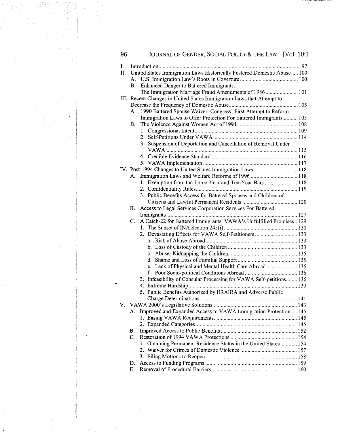|    | 96 |    | JOURNAL OF GENDER, SOCIAL POLICY & THE LAW [Vol. 10:1                   |
|----|----|----|-------------------------------------------------------------------------|
| L. |    |    |                                                                         |
|    | П. |    | United States Immigration Laws Historically Fostered Domestic Abuse 100 |
|    |    |    |                                                                         |
|    |    | B. | Enhanced Danger to Battered Immigrants:                                 |
|    |    |    | The Immigration Marriage Fraud Amendments of 1986 101                   |
|    |    |    | III. Recent Changes in United States Immigration Laws that Attempt to   |
|    |    |    |                                                                         |
|    |    | А. | 1990 Battered Spouse Waiver: Congress' First Attempt to Reform          |
|    |    |    | Immigration Laws to Offer Protection For Battered Immigrants 105        |
|    |    | В. |                                                                         |
|    |    |    |                                                                         |
|    |    |    |                                                                         |
|    |    |    | 3. Suspension of Deportation and Cancellation of Removal Under          |
|    |    |    |                                                                         |
|    |    |    |                                                                         |
|    |    |    | IV. Post-1994 Changes to United States Immigration Laws 118             |
|    |    | A. |                                                                         |
|    |    |    | 1. Exemption from the Three-Year and Ten-Year Bars  118                 |
|    |    |    |                                                                         |
|    |    |    | 3. Public Benefits Access for Battered Spouses and Children of          |
|    |    |    |                                                                         |
|    |    |    | B. Access to Legal Services Corporation Services For Battered           |
|    |    |    |                                                                         |
|    |    | C. | A Catch-22 for Battered Immigrants: VAWA's Unfulfilled Promises 129     |
|    |    |    |                                                                         |
|    |    |    | 2. Devastating Effects for VAWA Self-Petitioners 133                    |
|    |    |    |                                                                         |
|    |    |    |                                                                         |
|    |    |    |                                                                         |
|    |    |    |                                                                         |
|    |    |    | e. Lack of Physical and Mental Health Care Abroad 136                   |
|    |    |    |                                                                         |
| ٠  |    |    | 3. Infeasibility of Consular Processing for VAWA Self-petitions 136     |
|    |    |    |                                                                         |
|    |    |    | 5. Public Benefits Authorized by IIRAIRA and Adverse Public             |
|    |    |    |                                                                         |
|    |    |    |                                                                         |
|    |    | А. | Improved and Expanded Access to VAWA Immigration Protection  145        |
|    |    |    |                                                                         |
|    |    | В. |                                                                         |
|    |    | C. |                                                                         |
|    |    |    | 1. Obtaining Permanent Residence Status in the United States 154        |
|    |    |    |                                                                         |
|    |    |    |                                                                         |
|    |    | D. |                                                                         |
|    |    | Е. |                                                                         |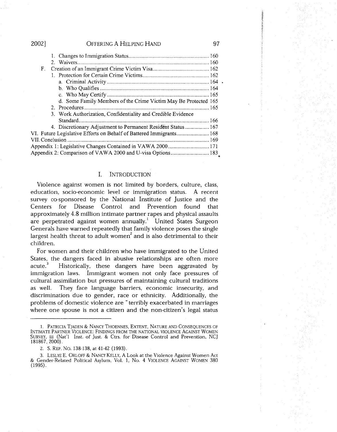| 2002]      | OFFERING A HELPING HAND                                             | 97 |
|------------|---------------------------------------------------------------------|----|
|            |                                                                     |    |
|            |                                                                     |    |
| $F_{\tau}$ |                                                                     |    |
|            |                                                                     |    |
|            |                                                                     |    |
|            |                                                                     |    |
|            |                                                                     |    |
|            | d. Some Family Members of the Crime Victim May Be Protected 165     |    |
|            |                                                                     |    |
|            | 3. Work Authorization, Confidentiality and Credible Evidence        |    |
|            | Standard                                                            |    |
|            | 4. Discretionary Adjustment to Permanent Resident Status 167        |    |
|            | VI. Future Legislative Efforts on Behalf of Battered Immigrants 168 |    |
|            |                                                                     |    |
|            |                                                                     |    |
|            | Appendix 2: Comparison of VAWA 2000 and U-visa Options 183          |    |
|            |                                                                     |    |

#### I. INTRODUCTION

Violence against women is not limited by borders, culture, class, education, socio-economic level or immigration status. A recent survey co-sponsored by the National Institute of Justice and the Centers for Disease Control and Prevention found that approximately 4.8 million intimate partner rapes and physical assaults are perpetrated against women annually.<sup>1</sup> United States Surgeon Generals have warned repeatedly that family violence poses the single largest health threat to adult women<sup>2</sup> and is also detrimental to their children.

For women and their children who have immigrated to the United States, the dangers faced in abusive relationships are often more acute.<sup>3</sup> Historically, these dangers have been aggravated by immigration laws. Immigrant women not only face pressures of cultural assimilation but pressures of maintaining cultural traditions as well. They face language barriers, economic insecurity, and discrimination due to gender, race or ethnicity. Additionally, the problems of domestic violence are "terribly exacerbated in marriages where one spouse is not a citizen and the non-citizen's legal status

<sup>1.</sup> PATRICIA TJADEN & NANCY THOENNES, EXTENT, NATURE AND CONSEQUENCES OF INTIMATE PARTNER VIOLENCE: FINDINGS FROM THE NATIONAL VIOLENCE AGAINST WOMEN SURVEY, iii (Nat'! Inst. of Just. & Ctrs. for Disease Control and Prevention, NCJ 181867, 2000).

<sup>2.</sup> S. REP. No. 138·138, at 41-42 (1993).

<sup>3.</sup> LESLYE E. ORLOFF & NANCY KELLY, A Look at the Violence Against Women Act & Gender-Related Political Asylum, Vol. l, No. 4 VIOLENCE AGAINST WOMEN 380 (1995).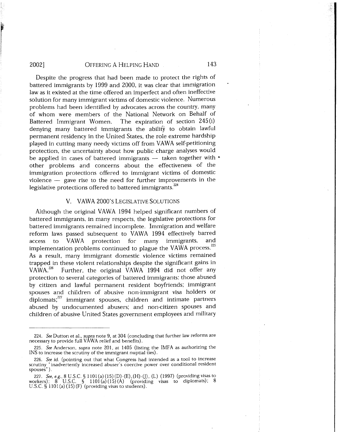range of the control of the control of the control of the control of the control of the control of the control of the control of the control of the control of the control of the control of the control of the control of the

I

Despite the progress that had been made to protect the rights of battered immigrants by 1999 and 2000, it was clear that immigration law as it existed at the time offered an imperfect and often ineffective solution for many immigrant victims of domestic violence. Numerous problems had been identified by advocates across the country, many of whom were members of the National Network on Behalf of Battered Immigrant Women. The expiration of section 245 (i) denying many battered immigrants the ability to obtain lawful permanent residency in the United States, the role extreme hardship played in cutting many needy victims off from VAWA self-petitioning protection, the uncertainty about how public charge analyses would be applied in cases of battered immigrants  $-$  taken together with  $\cdot$ other problems and concerns about the effectiveness of the immigration protections offered to immigrant victims of domestic violence  $-$  gave rise to the need for further improvements in the legislative protections offered to battered immigrants.<sup>224</sup>

#### V. VAWA 2000's LEGISLATIVE SOLUTIONS

Although the original VAWA 1994 helped significant numbers of battered immigrants, in many respects, the legislative protections for battered immigrants remained incomplete. Immigration and welfare reform laws passed subsequent to VAWA 1994 effectively barred access to VAWA protection for many immigrants, and implementation problems continued to plague the VAWA process.<sup>225</sup> As a result, many immigrant domestic violence victims remained trapped in these violent relationships despite the significant gains in VAWA.<sup>226</sup> Further, the original VAWA 1994 did not offer any protection to several categories of battered immigrants: those abused by citizen and lawful permanent resident boyfriends; immigrant spouses and children of abusive non-immigrant visa holders or diplomats; $^{227}$  immigrant spouses, children and intimate partners abused by undocumented abusers; and non-citizen spouses and children of abusive United States government employees and military

<sup>224.</sup> *See* Dutton et al., *supra* note 9, at 304 (concluding that further law reforms are necessary to provide full  $V\overline{\text{A}}\text{WA}$  relief and benefits).

<sup>225.</sup> *See* Anderson, *supra* note 201, at 1405 (listing the IMFA as authorizing the INS to increase the scrutiny of the immigrant nuptial ties).

<sup>226.</sup> *See* id. (pointing out that what Congress had intended as a tool to increase scrutiny "inadvertently increased abuser's coercive power over conditional resident spouses").

<sup>227.</sup> *See, e.g.,* 8 U.S.C. § 1101 (a)(l5)(D)-(E),(H)-(J), (L) (1997) (providing visas to workers);  $8^\circ$  U.S.C.  $\bar{S}$  1101(a)(15)(A) (providing visas to diplomats); 8 U.S.C.  $\oint 1101(a)(15)(F)$  (providing visas to students).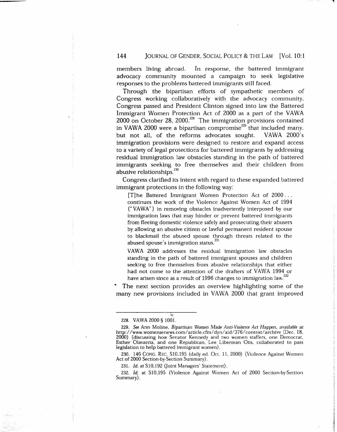#### **144** JOURNAL OF GENDER, SOCIAL POLICY & THE LAW [Vol. 10:1

members living abroad. In response, the battered immigrant advocacy community mounted a campaign to seek legislative responses to the problems battered immigrants still faced.

Through the bipartisan efforts of sympathetic members of Congress working collaboratively with the advocacy community, Congress passed and President Clinton signed into law the Battered Immigrant Women Protection Act of 2000 as a part of the VAWA  $2000$  on October 28, 2000.<sup>228</sup> The immigration provisions contained in VAWA 2000 were a bipartisan compromise<sup> $229$ </sup> that included many, but not all, of the reforms advocates sought. VAWA 2000's immigration provisions were designed to restore and expand access to a variety of legal protections for battered immigrants by addressing residual immigration law obstacles standing in the path of battered immigrants seeking to free themselves and their children from abusive relationships.<sup>230</sup>

Congress clarified its intent with regard to these expanded battered immigrant protections in the following way:

[T]he Battered Immigrant Women Protection Act of 2000 ... continues the work of the Violence Against Women Act of 1994 ("VA WA") in removing obstacles inadvertently interposed by our immigration laws that may hinder or prevent battered immigrants from fleeing domestic violence safely and prosecuting their abusers by allowing an abusive citizen or lawful permanent resident spouse to blackmail the abused spouse through threats related to the abused spouse's immigration status. $^{231}$ 

VAWA 2000 addresses the residual immigration law obstacles standing in the path of battered immigrant spouses and children seeking to free themselves from abusive relationships that either had not come to the attention of the drafters of VAWA 1994 or have arisen since as a result of 1996 changes to immigration law.<sup>232</sup>

The next section provides an overview highlighting some of the many new provisions included in VAWA 2000 that grant improved

230. 146 CONG. REC. Sl0.195 (daily ed. Oct. 11, 2000) (Violence Against Women Act of 2000 Section-by-Section Summary).

231. *Id.* at S10,192 (Joint Managers' Statement).

 $\dot{\mathbf{x}}$ 

<sup>228.</sup> VAWA 2000 § 1001.

<sup>229.</sup> *See* Ann Moline, *Bipartisan Women Made Anti-Violence Act Happen, available at*  http:/ /www.womensenews.com/article.cfm/ dyn/ aid/376/ context/ archive (Dec. 18. 2000) (discussing how Senator Kennedy and two women staffers, one Democrat, Esther Olavarria, and one Republican, Lee Liberman Otis, collaborated to pass legislation to help battered immigrant women).

<sup>232.</sup> *Id.* at Sl0,195 (Violence Against Women Act of 2000 Section-by-Section Summary).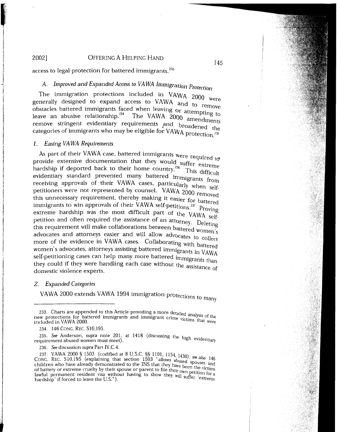access to legal protection for battered immigrants.<sup>233</sup>

*A. Improved and Expanded Access to VAWA Immigration Protection*<br>The immigration protections included in VAWA 2000 were The immigration protections including access to VAWA and to remove btacles battered immigrants faced when leaving or attempting to obstacles battered immigrants faced when leaving or attempting to dustaties battered  $\frac{1}{2}$  management 234. The VAWA 2000 amendments remove stringent evidentiary requirements and broadened the categories of immigrants who may be eligible for VAWA protection.<sup>235</sup>

#### *1. Easing VA WA Requirements*

**Inches** 

.

.<br>J. Amerikanske

· ..

As part of their VAWA case, battered immigrants were required to provide extensive documentation that they would suffer extreme hardship if deported back to their home country.<sup>236</sup> This difficult evidentiary standard prevented many battered immigrants from receiving approvals of their VAWA cases, particularly when selfpetitioners were not represented by counsel. VAWA 2000 removed this unnecessary requirement, thereby making it easier for battered<br>immigrants to win approvals of their VAWA self-petitions.<sup>237</sup> Proving extreme hardship was the most difficult part of the VAWA self-<br>petition and often required the assistance of an attorney. Deleting this requirement will make collaborations between battered women's<br>advocates and attorneys easier and will allow advocates to collect more of the evidence in VAWA cases. Collaborating with battered women's advocates, attorneys assisting battered immigrants in VAWA self-petitioning cases can help many more battered immigrants than they could if they were handling each case without the assistance of domestic violence experts.

#### *2. Expanded Categories*

VAWA 2000 extends VAWA 1994 immigration protections to <sub>many</sub>

235. See Anderson, *supra* note 201, at 1418 (discussing the high evidentiary requirement abused women must meet).

236. *See* discussion supra Part IV.C.4.

237. VAWA 2000 § 1503 (codified at 8 U.S.C. §§ 1101, 1154, <sub>1430)</sub>. CONG. REC. Sl0,195 (explaining that section 1503 "allows abused' *see also* 146 CONG. KEC. S10,130 (explaining that section for the INS that they have been the victims<br>children who have already demonstrated to the INS that they have been the victims of battery or extreme cruelty by their spouse or parent to file their own petition for a lawful permanent resident visa without having to show they will suffer 'extreme hardship' if forced to leave the U.S.").

<sup>233.</sup> Charts are appended to this Article providing a more detailed analysis of the included in VAWA 2000. The protections for battered immigrants and immigrant crime victims that were included in VAWA 2000.

<sup>234. 146</sup> CONG. REC. Sl0,195.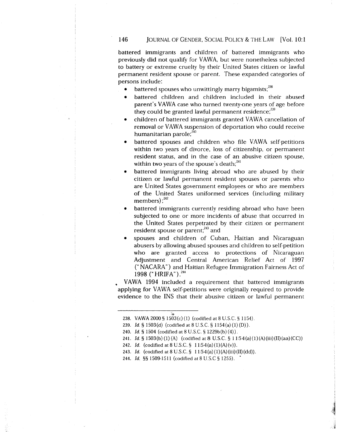#### 146 JOURNAL OF GENDER, SOCIAL POLICY & THE LAW [Vol. 10:1]

battered immigrants and children of battered immigrants who previously did not qualify for VAWA, but were nonetheless subjected to battery or extreme cruelty by their United States citizen or lawful permanent resident spouse or parent. These expanded categories of persons include:

- battered spouses who unwittingly marry bigamists;<sup>238</sup>
- battered children and children included in their abused parent's VAWA case who turned twenty-one years of age before they could be granted lawful permanent residence; $^{239}$
- children of battered immigrants granted VAWA cancellation of removal or VAWA suspension of deportation who could receive humanitarian parole; $^{240}$
- battered spouses and children who file VAWA self-petitions within two years of divorce, loss of citizenship, or permanent resident status, and in the case of an abusive citizen spouse, within two years of the spouse's death;<sup>241</sup>
- battered immigrants living abroad who are abused by their citizen or lawful permanent resident spouses or parents who are United States government employees or who are members of the United States uniformed services (including military members) ; 242
- battered immigrants currently residing abroad who have been subjected to one or more incidents of abuse that occurred in the United States perpetrated by their citizen or permanent resident spouse or parent; $^{243}$  and
- spouses and children of Cuban, Haitian and Nicaraguan abusers by allowing abused spouses and children to self-petition who are granted access to protections of Nicaraguan Adjustment and Central American Relief Act of 1997 ("NACARA") and Haitian Refugee Immigration Fairness Act of 1998 (" HRIFA") . 244

• VAWA 1994 included a requirement that battered immigrants applying for VAWA self-petitions were originally required to provide evidence to the INS that their abusive citizen or lawful permanent

<sup>238.</sup> VAWA 2000 § 1503(c)(l) (codified at 8 U.S.C. § 1154).

<sup>239.</sup> *Id.* § 1503(d) (codified at 8 U.S.C. § 1154(a)(1)(D)).

<sup>240.</sup> *Id.§* 1504 (codified at 8 U.S.C. § 1229b(b)(4)).

<sup>241.</sup> *Id.* § 1503(b)(1)(A) (codified at 8 U.S.C. § 1154(a)(1)(A)(iii)(II)(aa)(CC))

<sup>242.</sup> *Id.* (codified at 8 U.S.C. § 1154(a)(1)(A)(v)).

<sup>243.</sup> *Id.* (codified at 8 U.S.C. § 1154(a)(1)(A)(iii)(II)(dd)).

<sup>244.</sup> *Id.* §§ 1509-1511 (codified at 8 U.S.C § 1255). •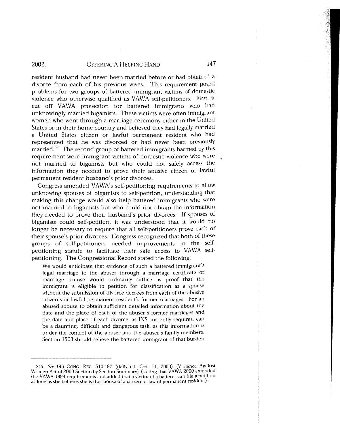resident husband had never been married before or had obtained a divorce from each of his previous wives. This requirement posed problems for two groups of battered immigrant victims of domestic violence who otherwise qualified as VAWA self-petitioners. First, it cut off VAWA protection for battered immigrants who had unknowingly married bigamists. These victims were often immigrant women who went through a marriage ceremony either in the United States or in their home country and believed they had legally married a United States citizen or lawful permanent resident who had represented that he was divorced or had never been previously married.<sup>245</sup> The second group of battered immigrants harmed by this requirement were immigrant victims of domestic violence who were not married to bigamists but who could not safely access the information they needed to prove their abusive citizen or lawful permanent resident husband's prior divorces.

Congress amended VAWA's self-petitioning requirements to allow unknowing spouses of bigamists to self-petition, understanding that making this change would also help battered immigrants who were not married to bigamists but who could not obtain the information they needed to prove their husband's prior divorces. If spouses of bigamists could self-petition, it was understood that it would no longer be necessary to require that all self-petitioners prove each of their spouse's prior divorces. Congress recognized that both of these groups of self-petitioners needed improvements in the selfpetitioning statute to facilitate their safe access to VAWA selfpetitioning. The Congressional Record stated the following:

We would anticipate that evidence of such a battered immigrant's legal marriage to the abuser through a marriage certificate or marriage license would ordinarily suffice as proof that the immigrant is eligible to petition for classification as a spouse without the submission of divorce decrees from each of the abusive citizen's or lawful permanent resident's former marriages. For an abused spouse to obtain sufficient detailed information about the date and the place of each of the abuser's former marriages and the date and place of each divorce, as INS currently requires, can be a daunting, difficult and dangerous task, as this information is under the control of the abuser and the abuser's family members. Section 1503 should relieve the battered immigrant of that burden

<sup>245.</sup> *See* 146 CONG. REC. SI0,192 (daily ed. Oct. 11, 2000) (Violence Against Women Act of 2000 Section-by-Section Summary) (stating that VAWA 2000 amended the VAWA 1994 requirements and added that a victim of a batterer can file a petition as long as she believes she is the spouse of a citizen or lawful permanent resident)·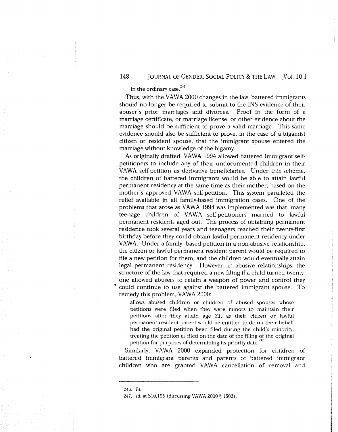#### **148** JOURNAL OF GENDER, SOCIAL POLICY & THE LAW (Vol. 10:1

### in the ordinary case.<sup>246</sup>

Thus, with the VAWA 2000 changes in the law, battered immigrants should no longer be required to submit to the INS evidence of their abuser's prior marriages and divorces. Proof in the form of a marriage certificate, or marriage license, or other evidence about the marriage should be sufficient to prove a valid marriage. This same evidence should also be sufficient to prove, in the case of a bigamist citizen or resident spouse, that the immigrant spouse entered the marriage without knowledge of the bigamy.

As originally drafted, VAWA 1994 allowed battered immigrant selfpetitioners to include any of their undocumented children in their VAWA self-petition as derivative beneficiaries. Under this scheme, the children of battered immigrants would be able to attain lawful permanent residency at the same time as their mother, based on the mother's approved VAWA self-petition. This system paralleled the relief available in all family-based immigration cases. One of the problems that arose as VAWA 1994 was implemented was that, many teenage children of VAWA self-petitioners married to lawful permanent residents aged out. The process of obtaining permanent residence took several years and teenagers reached their twenty-first birthday before they could obtain lawful permanent residency under VA WA. Under a family- based petition in a non-abusive relationship, the citizen or lawful permanent resident parent would be required to file a new petition for them, and the children would eventually attain legal permanent residency. However, in abusive relationships, the structure of the law that required a new filing if a child turned twentyone allowed abusers to retain a weapon of power and control they .. could continue to use against the battered immigrant spouse. To remedy this problem, VAWA 2000:

allows abused children or children of abused spouses whose petitions were filed when they were minors to maintain their petitions after they attain age 21, as their citizen or lawful permanent resident parent would be entitled to do on their behalf had the original petition been filed during the child's minority, treating the petition as filed on the date of the filing of the original petition for purposes of determining its priority date.<sup>247</sup>

Similarly, VAWA 2000 expanded protection for children of battered immigrant parents and parents of battered immigrant children who are granted VAWA cancellation of removal and

<sup>246.</sup> *Id.* 

<sup>247.</sup> *Id.* at Sl0,195 (discussing VAWA 2000 § 1503).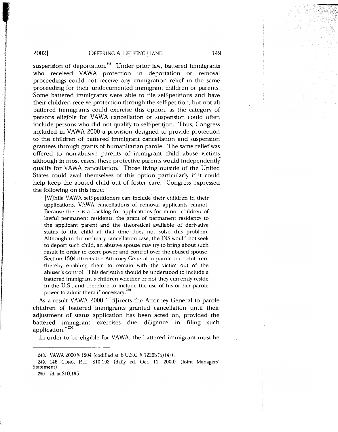' t

italiako eraikutzaileak **Printed Wales** ~ ili variantisti sena.<br>I

**PASCAPALEMENTO NEGLA A** *1* 

I

 $\begin{split} \mathbf{R} & \in \mathbb{R}^{2} \times \mathbb{R}^{2} \times \mathbb{R}^{2} \times \mathbb{R}^{2} \times \mathbb{R}^{2} \times \mathbb{R}^{2} \times \mathbb{R}^{2} \times \mathbb{R}^{2} \times \mathbb{R}^{2} \times \mathbb{R}^{2} \times \mathbb{R}^{2} \times \mathbb{R}^{2} \times \mathbb{R}^{2} \times \mathbb{R}^{2} \times \mathbb{R}^{2} \times \mathbb{R}^{2} \times \mathbb{R}^{2} \times \mathbb{R}^{2} \times \mathbb{R}^{2$ 

l

I

le incontrations ()<br>. **International Communication** 

strumlining<br>F on de la Registración de la Constantidad de la Constantidad de la Constantidad de la Constantidad de la Consta<br>La Constantidad de la Constantidad de la Constantidad de la Constantidad de la Constantidad de la Constantidad

#### 2002] OFFERING A HELPING HAND 149

suspension of deportation.<sup>248</sup> Under prior law, battered immigrants who received VAWA protection in deportation or removal proceedings could not receive any immigration relief in the same proceeding for their undocumented immigrant children or parents. Some battered immigrants were able to file self-petitions and have their children receive protection through the self-petition, but not all battered immigrants could exercise this option, as the category of persons eligible for VAWA cancellation or suspension could often include persons who did not qualify to self-petition. Thus, Congress included in VAWA 2000 a provision designed to provide protection to the children of battered immigrant cancellation and suspension grantees through grants of humanitarian parole. The same relief was offered to non-abusive parents of immigrant child abuse victims although in most cases, these protective parents would independently qualify for VAWA cancellation. Those living outside of the United States could avail themselves of this option particularly if it could help keep the abused child out of foster care. Congress expressed the following on this issue:

[W] hile VAWA self-petitioners can include their children in their applications, VAWA cancellations of removal applicants cannot. Because there is a backlog for applications for minor children of lawful permanent residents, the grant of permanent residency to the applicant parent and the theoretical available of derivative status to the child at that time does not solve this problem. Although in the ordinary cancellation case, the INS would not seek to deport such child, an abusive spouse may try to bring about such result in order to exert power and control over the abused spouse. Section 1504 directs the Attorney General to parole such children, thereby enabling them to remain with the victim out of the abuser's control. This derivative should be understood to include a battered immigrant's children whether or not they currently reside in the U.S., and therefore to include the use of his or her parole power to admit them if necessary.<sup>249</sup>

As a result VAWA 2000 "[d]irects the Attorney General to parole children of battered immigrants granted cancellation until their adjustment of status application has been acted on, provided the battered immigrant exercises due diligence in filing such application."<sup>250</sup>

In order to be eligible for VAWA, the battered immigrant must be

250. *Id.* at Sl0,195.

<sup>248.</sup> VAWA 2000 § 1504 (codified at 8 U.S.C. § 1229b(b) (4)).

<sup>249. 146</sup> CONG. REC. Sl0,192 (daily ed. Oct. 11, 2000) (Joint Managers' Statement).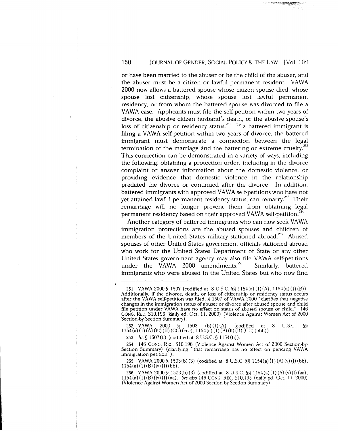#### 150 **JOURNAL OF GENDER, SOCIAL POLICY & THE LAW [Vol. 10:1**

or have been married to the abuser or be the child of the abuser, and the abuser must be a citizen or lawful permanent resident. VAWA 2000 now allows a battered spouse whose citizen spouse died, whose spouse lost citizenship, whose spouse lost lawful permanent residency, or from whom the battered spouse was divorced to file a VAWA case. Applicants must file the self-petition within two years of divorce, the abusive citizen husband's death, or the abusive spouse's loss of citizenship or residency status.<sup>251</sup> If a battered immigrant is filing a VAWA self-petition within two years of divorce, the battered immigrant must demonstrate a connection between the legal termination of the marriage and the battering or extreme cruelty. $^{252}$ This connection can be demonstrated in a variety of ways, including the following: obtaining a protection order, including in the divorce complaint or answer information about the domestic violence, or providing evidence that domestic violence in the relationship predated the divorce or continued after the divorce. In addition, battered immigrants with approved VAWA self-petitions who have not yet attained lawful permanent residency status, can remarry.<sup>253</sup> Their remarriage will no longer prevent them from obtaining legal permanent residency based on their approved VAWA self-petition.<sup>254</sup>

Another category of battered immigrants who can now seek VAWA immigration protections are the abused spouses and children of members of the United States military stationed abroad.<sup>255</sup> Abused spouses of other United States government officials stationed abroad who work for the United States Department of State or any other United States government agency may also file VAWA self-petitions under the VAWA 2000 amendments.<sup>256</sup> Similarly, battered immigrants who were abused in the United States but who now find

253. *Id.§* 1507(b) (codified at 8U.S.C.§ 1154(h)).

255. VAWA 2000 § 1503(b)(3) (codified at 8 U.S.C. §§ 1154(a)(1)(A)(v)(I)(bb),  $1154(a) (1) (B) (iv) (I) (bb)$ .

256. VAWA 2000 § 1503(b)(3) (codified at 8 U.S.C. §§ 1154(a)(l)(A)(v)(I) (aa), 1154(a)(l)(B)(iv)(I)(aa). *See also* 146 CONG. REC. Sl0,195 (daily ed. Oct. 11, 2000) (Violence Against Women Act of 2000 Section-by-Section Summary).

<sup>251.</sup> VAWA 2000 § 1507 (codified at 8 U.S.C. §§ 1154(a) (1)(A), 1154(a) (1)(B)). Additionally, if the divorce, death, or loss of citizenship or residency status occurs after the VAWA self-petition was filed, § 1507 of V AWA 2000 "clarifies that negative changes in the immigration status of abuser or divorce after abused spouse and child file petition under VAWA have no effect on status of abused spouse or child." 146 CONG. REC. Sl0,196 (daily ed. Oct. 11, 2000) (Violence Against Women Act of 2000 Section-by-Section Summary).

<sup>252.</sup> VAWA 2000 § 1503 (b) (1) (A) (codified at 8 U.S.C. §§ 1154(a) (1) (A) (iii) (II) (CC) (ccc), 1154(a) (1) (B) (ii) (II) (CC) (bbb)).

<sup>254. 146</sup> CONG. REC. Sl0,196 (Violence Against Women Act of 2000 Section-by-Section Summary) (clarifying "that remarriage has no effect on pending VAWA immigration petition").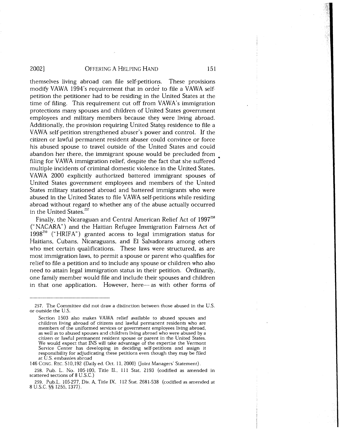themselves living abroad can file self-petitions. These provisions modify VAWA 1994's requirement that in order to file a VAWA selfpetition the petitioner had to be residing in the United States at the time of filing. This requirement cut off from VAWA's immigration protections many spouses and children of United States government employees and military members because they were living abroad. Additionally, the provision requiring United States residence to file a VA WA self-petition strengthened abuser's power and control. If the citizen or lawful permanent resident abuser could convince or force his abused spouse to travel outside of the United States and could abandon her there, the immigrant spouse would be precluded from filing for VAWA immigration relief, despite the fact that she suffered multiple incidents of criminal domestic violence in the United States. VAWA 2000 explicitly authorized battered immigrant spouses of United States government employees and members of the United States military stationed abroad and battered immigrants who were abused in the United States to file VAWA self-petitions while residing abroad without regard to whether any of the abuse actually occurred in the United States.<sup>257</sup>

Finally, the Nicaraguan and Central American Relief Act of 1997<sup>258</sup> (" NACARA") and the Haitian Refugee Immigration Fairness Act of  $1998^{259}$  ("HRIFA") granted access to legal immigration status for Haitians, Cubans, Nicaraguans, and El Salvadorans among others who met certain qualifications. These laws were structured, as are most immigration laws, to permit a spouse or parent who qualifies for relief to file a petition and to include any spouse or children who also need to attain legal immigration status in their petition. Ordinarily, one family member would file and include their spouses and children in that one application. However, here- as with other forms of

146 CONG. REC. Sl0,192 (Daily ed. Oct. 11, 2000) Qoint Managers' Statement).

258. Pub. L. No. 105-100, Title II., 111 Stat. 2193 (codified as amended in scattered sections of 8 U.S.C.)

•

<sup>257.</sup> The Committee did not draw a distinction between those abused in the U.S. or outside the U.S.

Section 1503 also makes VAWA relief available to abused spouses and children living abroad of citizens and lawful permanent residents who are members of the uniformed services or government employees living abroad, as well as to abused spouses and children living abroad who were abused by a citizen or lawful permanent resident spouse or parent in the United States. We would expect that INS will take advantage of the expertise the Vermont Service Center has developing in deciding self-petitions and assign it responsibility for adjudicating these petitions even though they may be filed at U.S. embassies abroad

<sup>259.</sup> Pub.L. 105-277, Div. A, Title IX, 112 Stat. 2681-538 (codified as amended at 8 U.S.C. §§ 1255, 1377).